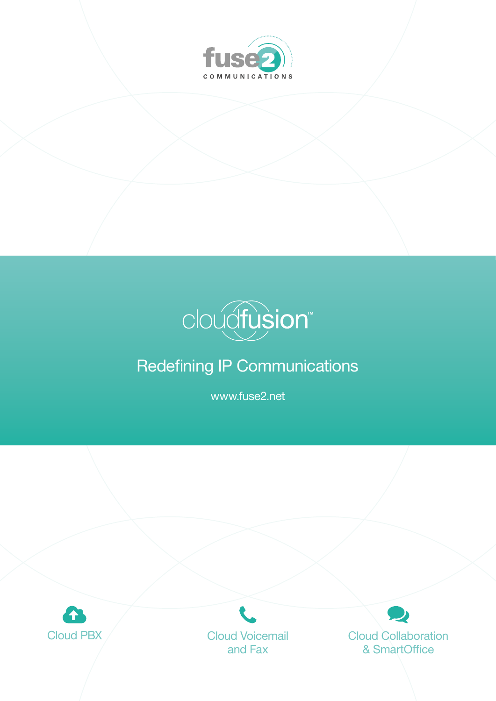



# Redefining IP Communications

[www.fuse2.net](http://www.fuse2.net)



Cloud Voicemail and Fax

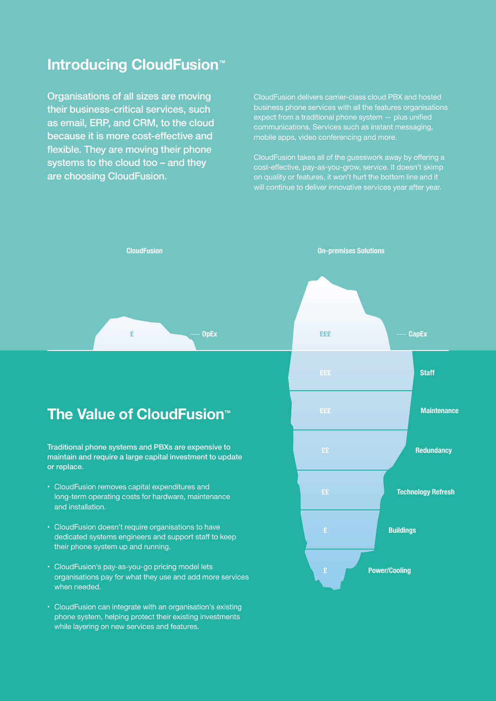# **Introducing CloudFusion<sup>™</sup>**

Organisations of all sizes are moving their business-critical services, such as email, ERP, and CRM, to the cloud because it is more cost-effective and flexible. They are moving their phone systems to the cloud too – and they are choosing CloudFusion.

CloudFusion delivers carrier-class cloud PBX and hosted business phone services with all the features organisations expect from a traditional phone system — plus unified communications. Services such as instant messaging, mobile apps, video conferencing and more.

CloudFusion takes all of the guesswork away by offering a will continue to deliver innovative services year after year.



# **The Value of CloudFusion™**

Traditional phone systems and PBXs are expensive to maintain and require a large capital investment to update or replace.

- CloudFusion removes capital expenditures and long-term operating costs for hardware, maintenance and installation.
- CloudFusion doesn't require organisations to have dedicated systems engineers and support staff to keep their phone system up and running.
- CloudFusion's pay-as-you-go pricing model lets organisations pay for what they use and add more services when needed.
- CloudFusion can integrate with an organisation's existing phone system, helping protect their existing investments while layering on new services and features.

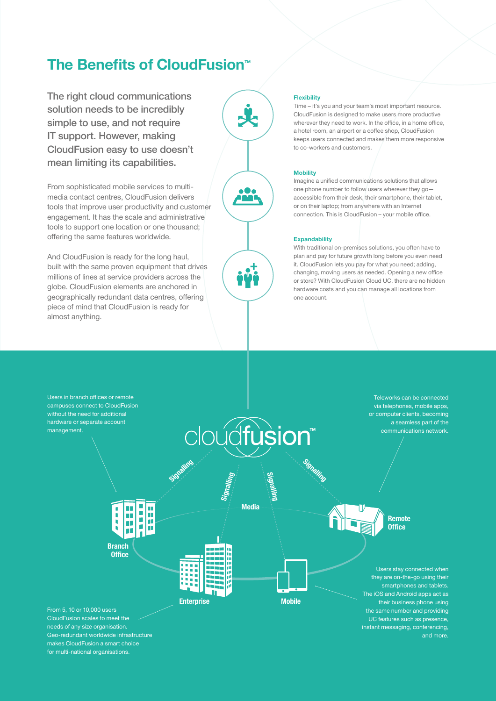# **The Benefits of CloudFusion**<sup>™</sup>

The right cloud communications solution needs to be incredibly simple to use, and not require IT support. However, making CloudFusion easy to use doesn't mean limiting its capabilities.

From sophisticated mobile services to multimedia contact centres, CloudFusion delivers tools that improve user productivity and customer engagement. It has the scale and administrative tools to support one location or one thousand; offering the same features worldwide.

And CloudFusion is ready for the long haul, built with the same proven equipment that drives millions of lines at service providers across the globe. CloudFusion elements are anchored in geographically redundant data centres, offering piece of mind that CloudFusion is ready for almost anything.

# $\bullet\bullet\bullet$ n Mari

#### **Flexibility**

Time – it's you and your team's most important resource. CloudFusion is designed to make users more productive wherever they need to work. In the office, in a home office, a hotel room, an airport or a coffee shop, CloudFusion keeps users connected and makes them more responsive to co-workers and customers.

#### **Mobility**

Imagine a unified communications solutions that allows one phone number to follow users wherever they go accessible from their desk, their smartphone, their tablet, or on their laptop; from anywhere with an Internet connection. This is CloudFusion - your mobile office.

#### **Expandability**

With traditional on-premises solutions, you often have to plan and pay for future growth long before you even need it. CloudFusion lets you pay for what you need; adding, changing, moving users as needed. Opening a new office or store? With CloudFusion Cloud UC, there are no hidden hardware costs and you can manage all locations from one account.



makes CloudFusion a smart choice for multi-national organisations.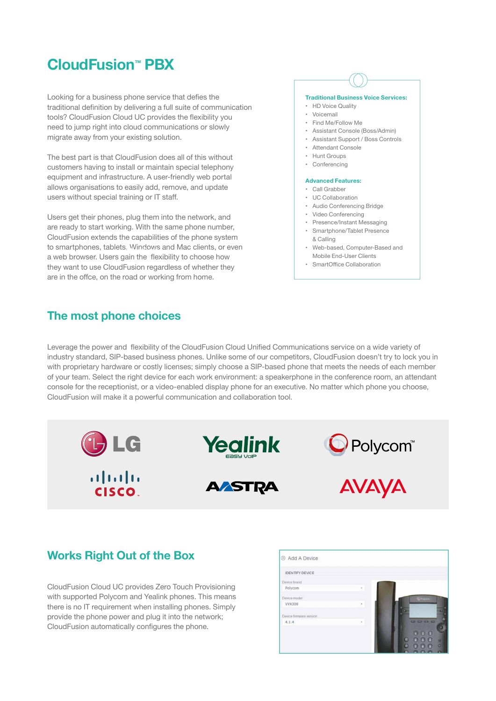# **CloudFusion™ PBX**

Looking for a business phone service that defies the traditional definition by delivering a full suite of communication tools? CloudFusion Cloud UC provides the flexibility you need to jump right into cloud communications or slowly migrate away from your existing solution.

The best part is that CloudFusion does all of this without customers having to install or maintain special telephony equipment and infrastructure. A user-friendly web portal allows organisations to easily add, remove, and update users without special training or IT staff.

Users get their phones, plug them into the network, and are ready to start working. With the same phone number, CloudFusion extends the capabilities of the phone system to smartphones, tablets, Windows and Mac clients, or even a web browser. Users gain the flexibility to choose how they want to use CloudFusion regardless of whether they are in the offce, on the road or working from home.

#### **Traditional Business Voice Services:**

- HD Voice Quality
- Voicemail
- Find Me/Follow Me
- Assistant Console (Boss/Admin)
- Assistant Support / Boss Controls
- Attendant Console • Hunt Groups
- Conferencing

#### **Advanced Features:**

- Call Grabber
- UC Collaboration
- Audio Conferencing Bridge
- Video Conferencing
- Presence/Instant Messaging
- Smartphone/Tablet Presence
- & Calling
- Web-based, Computer-Based and Mobile End-User Clients
- SmartOffice Collaboration

### **The most phone choices**

Leverage the power and flexibility of the CloudFusion Cloud Unified Communications service on a wide variety of industry standard, SIP-based business phones. Unlike some of our competitors, CloudFusion doesn't try to lock you in with proprietary hardware or costly licenses; simply choose a SIP-based phone that meets the needs of each member of your team. Select the right device for each work environment: a speakerphone in the conference room, an attendant console for the receptionist, or a video-enabled display phone for an executive. No matter which phone you choose, CloudFusion will make it a powerful communication and collaboration tool.



## **Works Right Out of the Box**

CloudFusion Cloud UC provides Zero Touch Provisioning with supported Polycom and Yealink phones. This means there is no IT requirement when installing phones. Simply provide the phone power and plug it into the network; CloudFusion automatically configures the phone.

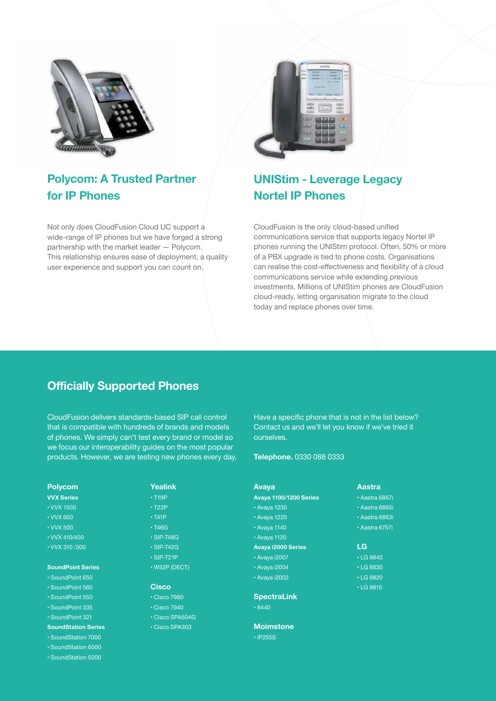

## **Polycom: A Trusted Partner for IP Phones**

Not only does CloudFusion Cloud UC support a wide-range of IP phones but we have forged a strong partnership with the market leader — Polycom. This relationship ensures ease of deployment, a quality user experience and support you can count on.



## **UNIStim - Leverage Legacy Nortel IP Phones**

CloudFusion is the only cloud-based unified communications service that supports legacy Nortel IP phones running the UNIStim protocol. Often, 50% or more of a PBX upgrade is tied to phone costs. Organisations can realise the cost-effectiveness and flexibility of a cloud communications service while extending previous investments. Millions of UNIStim phones are CloudFusion cloud-ready, letting organisation migrate to the cloud today and replace phones over time.

## **Officially Supported Phones**

CloudFusion delivers standards-based SIP call control that is compatible with hundreds of brands and models of phones. We simply can't test every brand or model so we focus our interoperability guides on the most popular products. However, we are testing new phones every day.

#### **Polycom**

- **VVX Series**
- VVX 1500
- $\cdot$  VVX 600
- VVX 500
- VVX 410/400
- VVX 310 /300

#### **SoundPoint Series**

- SoundPoint 650
- SoundPoint 560
- SoundPoint 550
- SoundPoint 335
- SoundPoint 321
- **SoundStation Series**
- SoundStation 7000
- SoundStation 6000
- SoundStation 5000

**Yealink** 

- T19P
- T22P
- T41P
- T46G
- SIP-T48G
- SIP-T42G
- SIP-T21P
- W52P (DECT)

#### **Cisco**

- Cisco 7960 • Cisco 7940
- Cisco SPA504G
	- Cisco SPA303

Have a specific phone that is not in the list below? Contact us and we'll let you know if we've tried it ourselves.

**Telephone.** 0330 088 0333

| <b>Avaya</b>              | <b>Aastra</b>   |  |  |
|---------------------------|-----------------|--|--|
| Avaya 1100/1200 Series    | · Aastra 6867i  |  |  |
| • Avaya 1230              | • Aastra 6865i  |  |  |
| • Avaya 1220              | • Aastra 6863i  |  |  |
| • Avaya 1140              | · Aastra 6757i  |  |  |
| • Avaya 1120              |                 |  |  |
| <b>Avaya i2000 Series</b> | LG              |  |  |
| · Avaya i2007             | $\cdot$ LG 8840 |  |  |
| · Avaya i2004             | $\cdot$ LG 8830 |  |  |
| · Avaya i2002             | $\cdot$ LG 8820 |  |  |
|                           | $\cdot$ LG 8815 |  |  |
| <b>SpectraLink</b>        |                 |  |  |
| •8440                     |                 |  |  |

**Moimstone**

• IP255S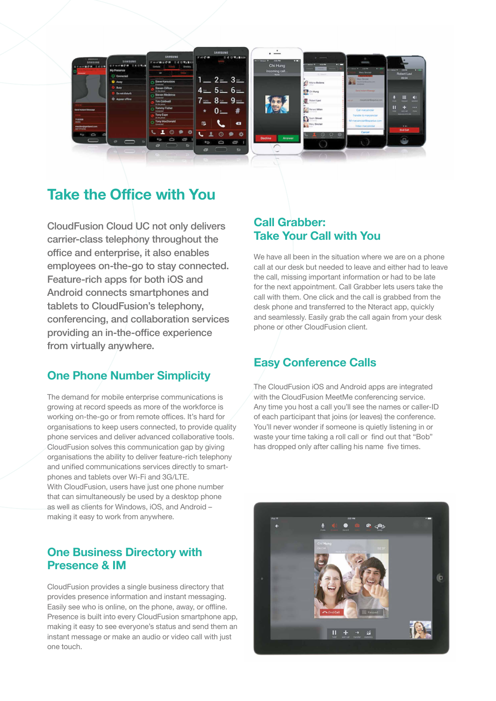

# **Take the Office with You**

CloudFusion Cloud UC not only delivers carrier-class telephony throughout the office and enterprise, it also enables employees on-the-go to stay connected. Feature-rich apps for both iOS and Android connects smartphones and tablets to CloudFusion's telephony, conferencing, and collaboration services providing an in-the-office experience from virtually anywhere.

## **One Phone Number Simplicity**

The demand for mobile enterprise communications is growing at record speeds as more of the workforce is working on-the-go or from remote offices. It's hard for organisations to keep users connected, to provide quality phone services and deliver advanced collaborative tools. CloudFusion solves this communication gap by giving organisations the ability to deliver feature-rich telephony and unified communications services directly to smartphones and tablets over Wi-Fi and 3G/LTE. With CloudFusion, users have just one phone number that can simultaneously be used by a desktop phone as well as clients for Windows, iOS, and Android – making it easy to work from anywhere.

## **One Business Directory with Presence & IM**

CloudFusion provides a single business directory that provides presence information and instant messaging. Easily see who is online, on the phone, away, or offline. Presence is built into every CloudFusion smartphone app, making it easy to see everyone's status and send them an instant message or make an audio or video call with just one touch.

## **Call Grabber: Take Your Call with You**

We have all been in the situation where we are on a phone call at our desk but needed to leave and either had to leave the call, missing important information or had to be late for the next appointment. Call Grabber lets users take the call with them. One click and the call is grabbed from the desk phone and transferred to the Nteract app, quickly and seamlessly. Easily grab the call again from your desk phone or other CloudFusion client.

## **Easy Conference Calls**

The CloudFusion iOS and Android apps are integrated with the CloudFusion MeetMe conferencing service. Any time you host a call you'll see the names or caller-ID of each participant that joins (or leaves) the conference. You'll never wonder if someone is quietly listening in or waste your time taking a roll call or find out that "Bob" has dropped only after calling his name five times.

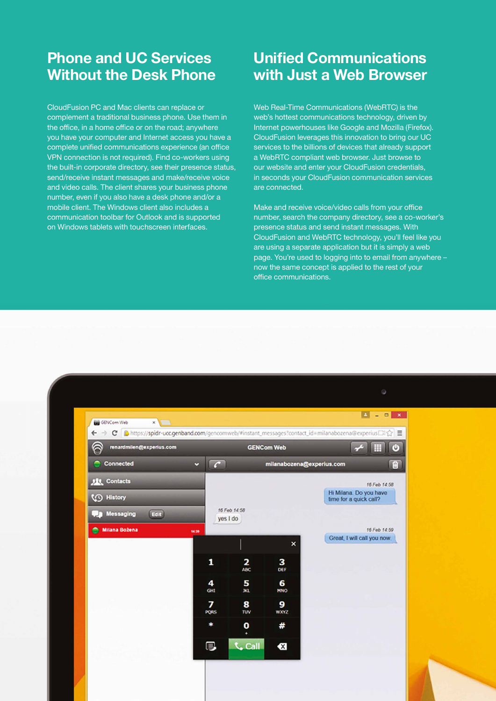# **Phone and UC Services Without the Desk Phone**

CloudFusion PC and Mac clients can replace or complement a traditional business phone. Use them in the office, in a home office or on the road; anywhere you have your computer and Internet access you have a complete unified communications experience (an office VPN connection is not required). Find co-workers using the built-in corporate directory, see their presence status, send/receive instant messages and make/receive voice and video calls. The client shares your business phone number, even if you also have a desk phone and/or a mobile client. The Windows client also includes a communication toolbar for Outlook and is supported on Windows tablets with touchscreen interfaces.

# **Unified Communications with Just a Web Browser**

Web Real-Time Communications (WebRTC) is the web's hottest communications technology, driven by Internet powerhouses like Google and Mozilla (Firefox). CloudFusion leverages this innovation to bring our UC services to the billions of devices that already support a WebRTC compliant web browser. Just browse to our website and enter your CloudFusion credentials, in seconds your CloudFusion communication services are connected.

Make and receive voice/video calls from your office number, search the company directory, see a co-worker's presence status and send instant messages. With CloudFusion and WebRTC technology, you'll feel like you are using a separate application but it is simply a web page. You're used to logging into to email from anywhere – now the same concept is applied to the rest of your office communications.

| renardmilen@experius.com<br>â |                      |                          | <b>GENCom Web</b>         | ▦                                                |
|-------------------------------|----------------------|--------------------------|---------------------------|--------------------------------------------------|
| Connected<br>∍                | $\mathcal{C}$<br>м   |                          | milanabozena@experius.com |                                                  |
| <b>ALL</b> Contacts           |                      |                          |                           | 16 Feb 14:58                                     |
| <b>B</b> History              |                      |                          |                           | Hi Milana. Do you have<br>time for a quick call? |
| Edit<br><b>Ressaging</b>      |                      | 16 Feb 14:58<br>yes I do |                           |                                                  |
| Milana Božena                 | 14:59                |                          |                           | 16 Feb 14:59<br>Great, I will call you now.      |
|                               |                      |                          | $\boldsymbol{\mathsf{x}}$ |                                                  |
|                               | 1                    | 2<br>ABC                 | з<br>DEF                  |                                                  |
|                               | 4<br>GH <sub>1</sub> | 5<br>3KL                 | 6<br><b>MNO</b>           |                                                  |
|                               | 7<br><b>PORS</b>     | 8<br><b>TUV</b>          | 9<br><b>WXYZ</b>          |                                                  |
|                               | ∗                    | 0                        | #                         |                                                  |
|                               | 6                    | <b>Call</b>              | $\propto$                 |                                                  |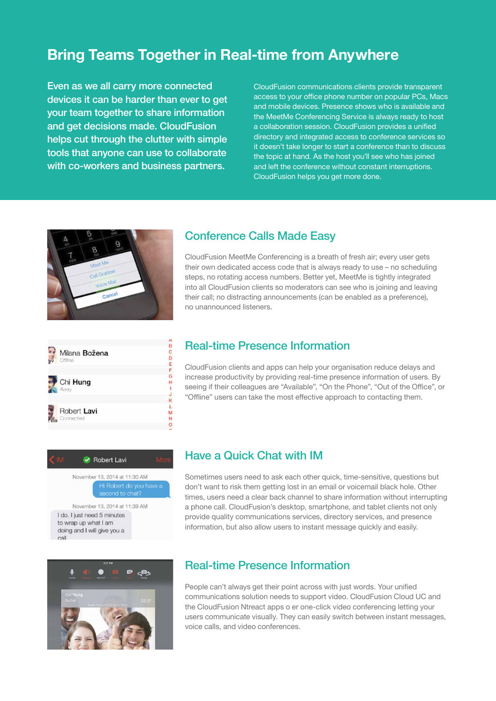# **Bring Teams Together in Real-time from Anywhere**

Even as we all carry more connected devices it can be harder than ever to get your team together to share information and get decisions made. CloudFusion helps cut through the clutter with simple tools that anyone can use to collaborate with co-workers and business partners.

CloudFusion communications clients provide transparent access to your office phone number on popular PCs, Macs and mobile devices. Presence shows who is available and the MeetMe Conferencing Service is always ready to host a collaboration session. CloudFusion provides a unified directory and integrated access to conference services so it doesn't take longer to start a conference than to discuss the topic at hand. As the host you'll see who has joined and left the conference without constant interruptions. CloudFusion helps you get more done.



## Conference Calls Made Easy

CloudFusion MeetMe Conferencing is a breath of fresh air; every user gets their own dedicated access code that is always ready to use – no scheduling steps, no rotating access numbers. Better yet, MeetMe is tightly integrated into all CloudFusion clients so moderators can see who is joining and leaving their call; no distracting announcements (can be enabled as a preference), no unannounced listeners.



**DO** D

È G

Ĥ

M  $rac{2}{\alpha}$ 

## Real-time Presence Information

CloudFusion clients and apps can help your organisation reduce delays and increase productivity by providing real-time presence information of users. By seeing if their colleagues are "Available", "On the Phone", "Out of the Office", or "Offline" users can take the most effective approach to contacting them.



call

## Have a Quick Chat with IM

Sometimes users need to ask each other quick, time-sensitive, questions but don't want to risk them getting lost in an email or voicemail black hole. Other times, users need a clear back channel to share information without interrupting a phone call. CloudFusion's desktop, smartphone, and tablet clients not only provide quality communications services, directory services, and presence information, but also allow users to instant message quickly and easily.



## Real-time Presence Information

People can't always get their point across with just words. Your unified communications solution needs to support video. CloudFusion Cloud UC and the CloudFusion Ntreact apps o er one-click video conferencing letting your users communicate visually. They can easily switch between instant messages, voice calls, and video conferences.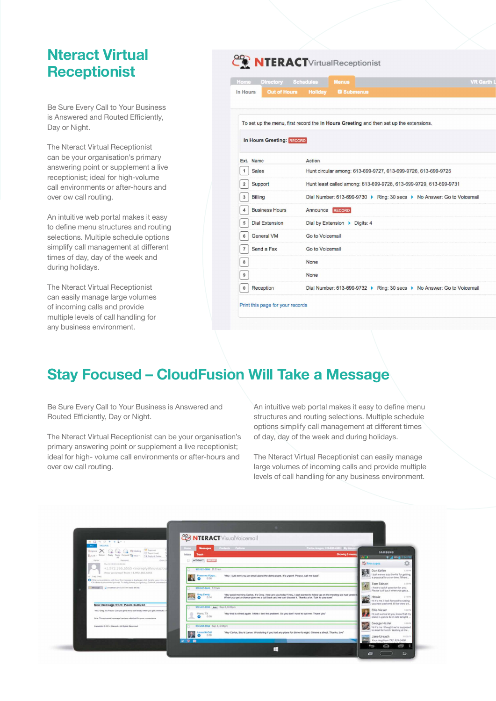# **Nteract Virtual Receptionist**

Be Sure Every Call to Your Business is Answered and Routed Efficiently, Day or Night.

The Nteract Virtual Receptionist can be your organisation's primary answering point or supplement a live receptionist; ideal for high-volume call environments or after-hours and over ow call routing.

An intuitive web portal makes it easy to define menu structures and routing selections. Multiple schedule options simplify call management at different times of day, day of the week and during holidays.

The Nteract Virtual Receptionist can easily manage large volumes of incoming calls and provide multiple levels of call handling for any business environment.

| Home                | <b>Directory</b>          | <b>Schedules</b><br><b>Menus</b>                                                       | <b>VR Garth</b>                                                        |
|---------------------|---------------------------|----------------------------------------------------------------------------------------|------------------------------------------------------------------------|
| In Hours            | <b>Out of Hours</b>       | <b>Holiday</b><br><b>Q</b> Submenus                                                    |                                                                        |
|                     |                           |                                                                                        |                                                                        |
|                     |                           | To set up the menu, first record the In Hours Greeting and then set up the extensions. |                                                                        |
|                     |                           |                                                                                        |                                                                        |
|                     | In Hours Greeting: RECORD |                                                                                        |                                                                        |
| Ext. Name           |                           | <b>Action</b>                                                                          |                                                                        |
| <b>Sales</b><br>1   |                           |                                                                                        | Hunt circular among: 613-699-9727, 613-699-9726, 613-699-9725          |
| $\overline{2}$      | Support                   |                                                                                        | Hunt least called among: 613-699-9728, 613-699-9729, 613-699-9731      |
| <b>Billing</b><br>3 |                           |                                                                                        | Dial Number: 613-699-9730 ▶ Ring: 30 secs ▶ No Answer: Go to Voicemail |
|                     | <b>Business Hours</b>     | Announce RECORD                                                                        |                                                                        |
| 5                   | <b>Dial Extension</b>     | Dial by Extension > Digits: 4                                                          |                                                                        |
|                     | <b>General VM</b>         | Go to Voicemail                                                                        |                                                                        |
| 7                   | Send a Fax                | Go to Voicemail                                                                        |                                                                        |
| 8                   |                           | None                                                                                   |                                                                        |
| 9                   |                           | None                                                                                   |                                                                        |
|                     | Reception                 |                                                                                        | Dial Number: 613-699-9732 ▶ Ring: 30 secs ▶ No Answer: Go to Voicemail |

# **Stay Focused – CloudFusion Will Take a Message**

Be Sure Every Call to Your Business is Answered and Routed Efficiently, Day or Night.

The Nteract Virtual Receptionist can be your organisation's primary answering point or supplement a live receptionist; ideal for high- volume call environments or after-hours and over ow call routing.

An intuitive web portal makes it easy to define menu structures and routing selections. Multiple schedule options simplify call management at different times of day, day of the week and during holidays.

The Nteract Virtual Receptionist can easily manage large volumes of incoming calls and provide multiple levels of call handling for any business environment.

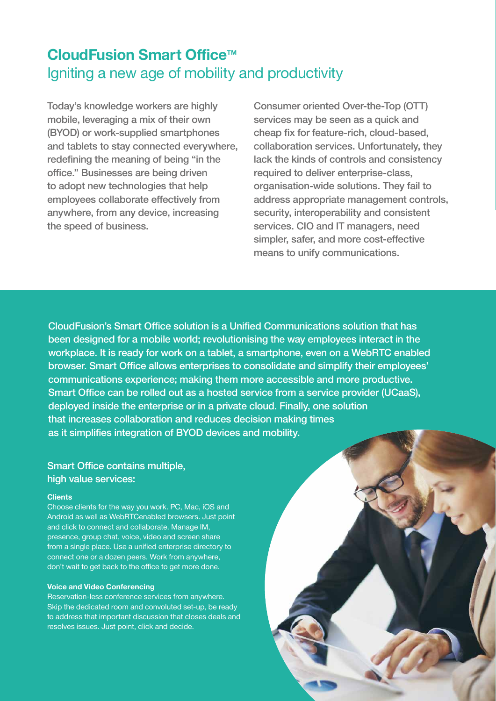# **CloudFusion Smart OfficeTM** Igniting a new age of mobility and productivity

Today's knowledge workers are highly mobile, leveraging a mix of their own (BYOD) or work-supplied smartphones and tablets to stay connected everywhere, redefining the meaning of being "in the office." Businesses are being driven to adopt new technologies that help employees collaborate effectively from anywhere, from any device, increasing the speed of business.

Consumer oriented Over-the-Top (OTT) services may be seen as a quick and cheap fix for feature-rich, cloud-based, collaboration services. Unfortunately, they lack the kinds of controls and consistency required to deliver enterprise-class, organisation-wide solutions. They fail to address appropriate management controls, security, interoperability and consistent services. CIO and IT managers, need simpler, safer, and more cost-effective means to unify communications.

CloudFusion's Smart Office solution is a Unified Communications solution that has been designed for a mobile world; revolutionising the way employees interact in the workplace. It is ready for work on a tablet, a smartphone, even on a WebRTC enabled browser. Smart Office allows enterprises to consolidate and simplify their employees' communications experience; making them more accessible and more productive. Smart Office can be rolled out as a hosted service from a service provider (UCaaS), deployed inside the enterprise or in a private cloud. Finally, one solution that increases collaboration and reduces decision making times as it simplifies integration of BYOD devices and mobility.

## Smart Office contains multiple, high value services:

#### **Clients**

Choose clients for the way you work. PC, Mac, iOS and Android as well as WebRTCenabled browsers. Just point and click to connect and collaborate. Manage IM, presence, group chat, voice, video and screen share from a single place. Use a unified enterprise directory to connect one or a dozen peers. Work from anywhere, don't wait to get back to the office to get more done.

#### **Voice and Video Conferencing**

Reservation-less conference services from anywhere. Skip the dedicated room and convoluted set-up, be ready to address that important discussion that closes deals and resolves issues. Just point, click and decide.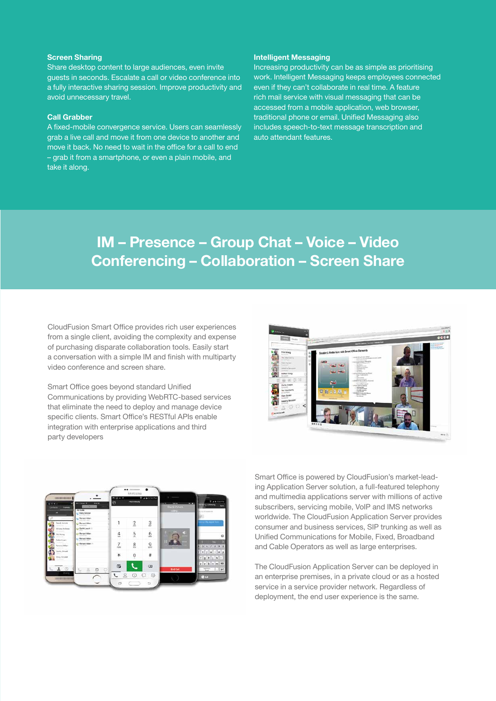#### **Screen Sharing**

Share desktop content to large audiences, even invite guests in seconds. Escalate a call or video conference into a fully interactive sharing session. Improve productivity and avoid unnecessary travel.

#### **Call Grabber**

A fixed-mobile convergence service. Users can seamlessly grab a live call and move it from one device to another and move it back. No need to wait in the office for a call to end – grab it from a smartphone, or even a plain mobile, and take it along.

#### **Intelligent Messaging**

Increasing productivity can be as simple as prioritising work. Intelligent Messaging keeps employees connected even if they can't collaborate in real time. A feature rich mail service with visual messaging that can be accessed from a mobile application, web browser, traditional phone or email. Unified Messaging also includes speech-to-text message transcription and auto attendant features.

# **IM – Presence – Group Chat – Voice – Video Conferencing – Collaboration – Screen Share**

CloudFusion Smart Office provides rich user experiences from a single client, avoiding the complexity and expense of purchasing disparate collaboration tools. Easily start a conversation with a simple IM and finish with multiparty video conference and screen share.

Smart Office goes beyond standard Unified Communications by providing WebRTC-based services that eliminate the need to deploy and manage device specific clients. Smart Office's RESTful APIs enable integration with enterprise applications and third party developers



| 認修戰所                                                                 | 11174<br><b>Microsoft</b>                                               | 5 P<br>er ft<br>Ø | ٠<br><b>Phone Roady</b> | 4851484         | $\frac{1}{2}$<br><b>DOM FW</b><br>. .<br>$-1$ | Turanounu<br><b>MINI-Lichbung</b><br><b>Marine</b> |
|----------------------------------------------------------------------|-------------------------------------------------------------------------|-------------------|-------------------------|-----------------|-----------------------------------------------|----------------------------------------------------|
| <b>Cortants</b><br><b>Fallmake</b><br>$\overline{a}$                 | At Calls<br><b>Ing</b> Mary Singsian                                    |                   |                         |                 | Dient Avrum<br><b>EXTERN</b>                  | <b>A TA PTA ASSAULT</b>                            |
| <b>Savid, Wilson</b>                                                 | <b>Ly</b> Renand Miles<br>s.r. Renand Milen.<br><b>Lt</b> Geth Leach !! |                   | $\overline{2}$          | $\frac{3}{2}$   |                                               | <b>Case this bearing the</b>                       |
| <b>Initiana</b> , Bulleega<br>--<br>Oil Hung                         | L.P. Planuard Millard<br><b>ILE FRIVAND MONT</b>                        | 4                 | $\frac{5}{2}$           | $\underline{6}$ | m                                             | ۰                                                  |
| <b>Rubert Law</b><br>----<br><b>Return! Miles</b><br><b>CONTRACT</b> | LY Floridat Milen 14<br><b>CONTRACTOR</b>                               | 7<br>in e         | g                       | 9<br>win        | m<br>                                         | 547890                                             |
| Sexts, Shrupki<br>Wary, Grechalt                                     |                                                                         | *                 | Ô                       | Ħ               |                                               | tyuiop<br>$f$ g h j k i                            |
| 10                                                                   | $\circ$<br>5<br>$\circ$<br>2                                            | 鳳                 |                         | $\infty$        | <b>End Call</b>                               | $c$ v b n m $m$<br>127<br>$1.1 + 1.$               |
| hme<br><b>STATISTICS</b>                                             |                                                                         |                   | $\circ$                 | ⊙               |                                               | Q(a)                                               |

Smart Office is powered by CloudFusion's market-leading Application Server solution, a full-featured telephony and multimedia applications server with millions of active subscribers, servicing mobile, VoIP and IMS networks worldwide. The CloudFusion Application Server provides consumer and business services, SIP trunking as well as Unified Communications for Mobile, Fixed, Broadband and Cable Operators as well as large enterprises.

The CloudFusion Application Server can be deployed in an enterprise premises, in a private cloud or as a hosted service in a service provider network. Regardless of deployment, the end user experience is the same.